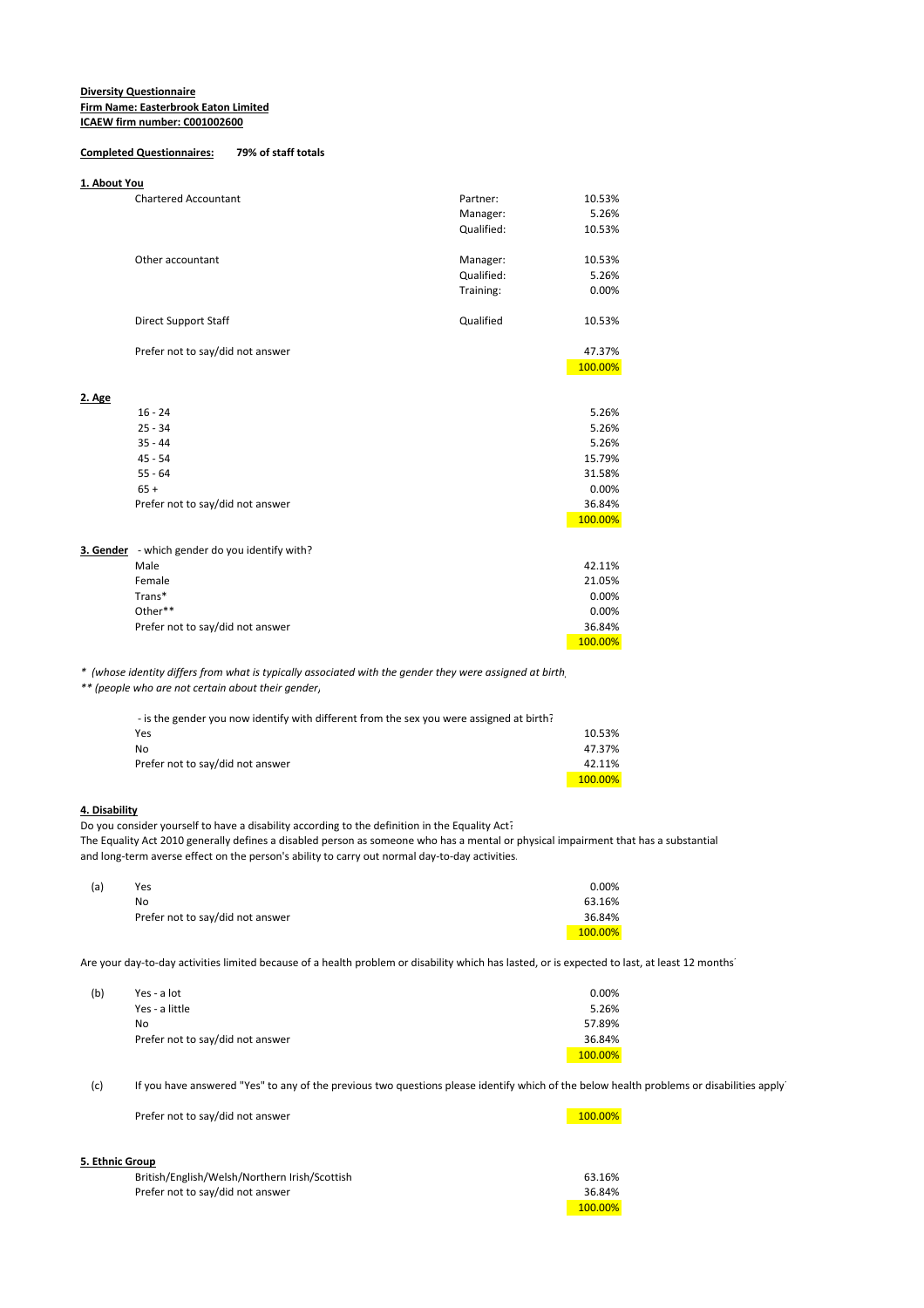#### **Diversity Questionnaire Firm Name: Easterbrook Eaton Limited ICAEW firm number: C001002600**

### **Completed Questionnaires: 79% of staff totals**

#### **1. About You**

|        | <b>Chartered Accountant</b>      | Partner:   | 10.53%  |
|--------|----------------------------------|------------|---------|
|        |                                  | Manager:   | 5.26%   |
|        |                                  | Qualified: | 10.53%  |
|        |                                  |            |         |
|        | Other accountant                 | Manager:   | 10.53%  |
|        |                                  | Qualified: | 5.26%   |
|        |                                  | Training:  | 0.00%   |
|        | <b>Direct Support Staff</b>      | Qualified  | 10.53%  |
|        | Prefer not to say/did not answer |            | 47.37%  |
|        |                                  |            | 100.00% |
| 2. Age |                                  |            |         |
|        | $16 - 24$                        |            | 5.26%   |
|        | $25 - 34$                        |            | 5.26%   |
|        | $35 - 44$                        |            | 5.26%   |
|        | $45 - 54$                        |            | 15.79%  |
|        | $55 - 64$                        |            | 31.58%  |
|        | $65 +$                           |            | 0.00%   |
|        | Prefer not to say/did not answer |            | 36.84%  |
|        |                                  |            | 100.00% |
|        |                                  |            |         |

**3. Gender** - which gender do you identify with?

| - WHICH genuer do you luenthy with: |         |
|-------------------------------------|---------|
| Male                                | 42.11%  |
| Female                              | 21.05%  |
| Trans*                              | 0.00%   |
| Other**                             | 0.00%   |
| Prefer not to say/did not answer    | 36.84%  |
|                                     | 100.00% |

*\* (whose identity differs from what is typically associated with the gender they were assigned at birth)*

*\*\* (people who are not certain about their gender)*

| - is the gender you now identify with different from the sex you were assigned at birth? |         |
|------------------------------------------------------------------------------------------|---------|
| Yes                                                                                      | 10.53%  |
| N٥                                                                                       | 47.37%  |
| Prefer not to say/did not answer                                                         | 42.11%  |
|                                                                                          | 100.00% |

## **4. Disability**

Do you consider yourself to have a disability according to the definition in the Equality Act? The Equality Act 2010 generally defines a disabled person as someone who has a mental or physical impairment that has a substantial and long-term averse effect on the person's ability to carry out normal day-to-day activities.

| (a) | Yes                              | 0.00%   |
|-----|----------------------------------|---------|
|     | No                               | 63.16%  |
|     | Prefer not to say/did not answer | 36.84%  |
|     |                                  | 100.00% |

Are your day-to-day activities limited because of a health problem or disability which has lasted, or is expected to last, at least 12 months?

| (b) | Yes - a lot                      | 0.00%   |
|-----|----------------------------------|---------|
|     | Yes - a little                   | 5.26%   |
|     | No                               | 57.89%  |
|     | Prefer not to say/did not answer | 36.84%  |
|     |                                  | 100.00% |

(c) If you have answered "Yes" to any of the previous two questions please identify which of the below health problems or disabilities apply.

Prefer not to say/did not answer 100.00%

## **5. Ethnic**

| iic Group.                                    |         |
|-----------------------------------------------|---------|
| British/English/Welsh/Northern Irish/Scottish | 63.16%  |
| Prefer not to say/did not answer              | 36.84%  |
|                                               | 100.00% |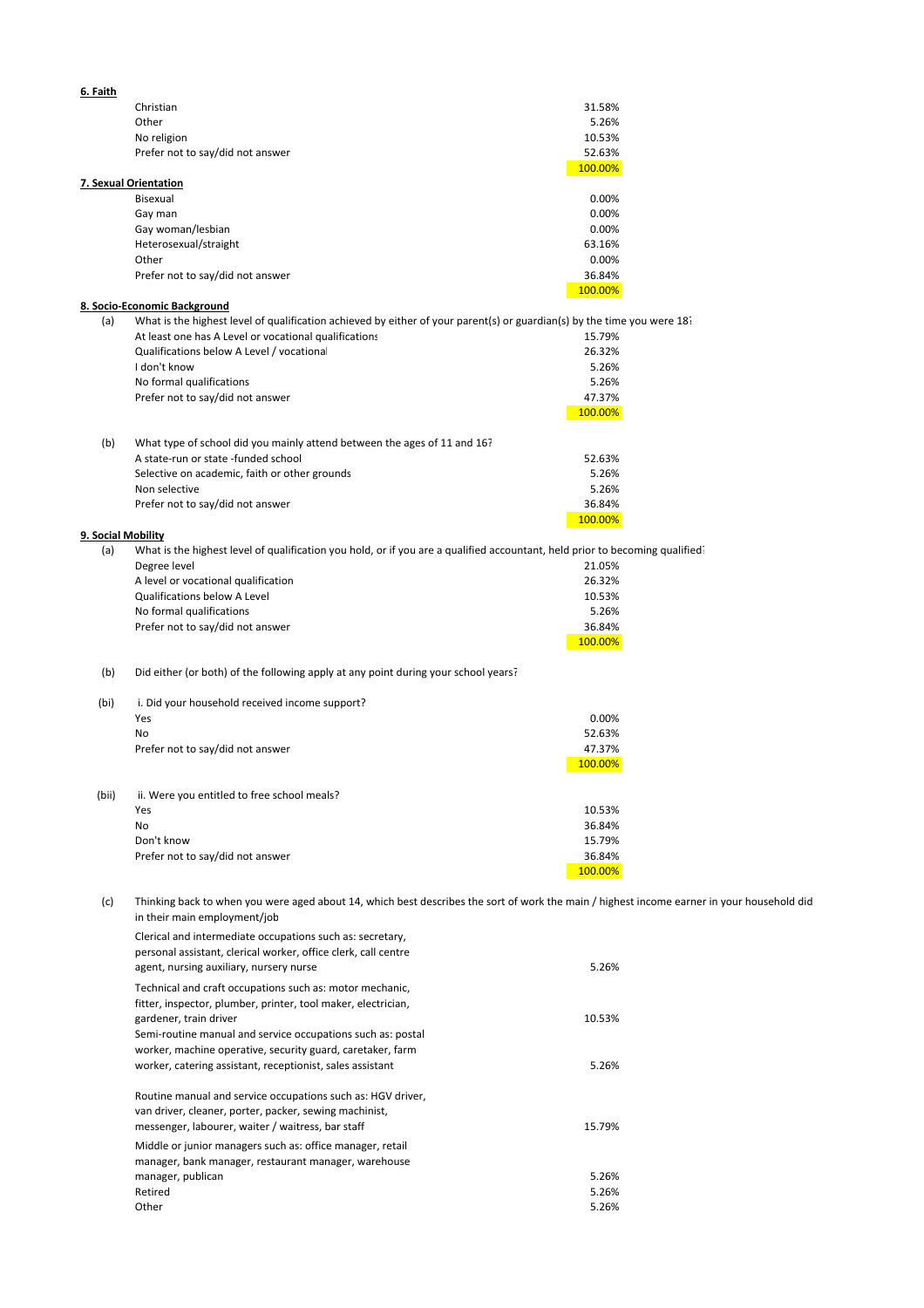| 6. Faith           |                                                                                                                                             |                   |  |
|--------------------|---------------------------------------------------------------------------------------------------------------------------------------------|-------------------|--|
|                    | Christian                                                                                                                                   | 31.58%            |  |
|                    | Other                                                                                                                                       | 5.26%             |  |
|                    | No religion                                                                                                                                 | 10.53%<br>52.63%  |  |
|                    | Prefer not to say/did not answer                                                                                                            | 100.00%           |  |
|                    | 7. Sexual Orientation                                                                                                                       |                   |  |
|                    | Bisexual                                                                                                                                    | 0.00%             |  |
|                    | Gay man                                                                                                                                     | 0.00%             |  |
|                    | Gay woman/lesbian                                                                                                                           | 0.00%             |  |
|                    | Heterosexual/straight<br>Other                                                                                                              | 63.16%<br>0.00%   |  |
|                    | Prefer not to say/did not answer                                                                                                            | 36.84%            |  |
|                    |                                                                                                                                             | 100.00%           |  |
|                    | 8. Socio-Economic Background                                                                                                                |                   |  |
| (a)                | What is the highest level of qualification achieved by either of your parent(s) or guardian(s) by the time you were $182$                   |                   |  |
|                    | At least one has A Level or vocational qualifications<br>Qualifications below A Level / vocational                                          | 15.79%<br>26.32%  |  |
|                    | I don't know                                                                                                                                | 5.26%             |  |
|                    | No formal qualifications                                                                                                                    | 5.26%             |  |
|                    | Prefer not to say/did not answer                                                                                                            | 47.37%            |  |
|                    |                                                                                                                                             | 100.00%           |  |
|                    |                                                                                                                                             |                   |  |
| (b)                | What type of school did you mainly attend between the ages of 11 and 16?<br>A state-run or state -funded school                             | 52.63%            |  |
|                    | Selective on academic, faith or other grounds                                                                                               | 5.26%             |  |
|                    | Non selective                                                                                                                               | 5.26%             |  |
|                    | Prefer not to say/did not answer                                                                                                            | 36.84%            |  |
|                    |                                                                                                                                             | 100.00%           |  |
| 9. Social Mobility |                                                                                                                                             |                   |  |
| (a)                | What is the highest level of qualification you hold, or if you are a qualified accountant, held prior to becoming qualified<br>Degree level | 21.05%            |  |
|                    | A level or vocational qualification                                                                                                         | 26.32%            |  |
|                    | Qualifications below A Level                                                                                                                | 10.53%            |  |
|                    | No formal qualifications                                                                                                                    | 5.26%             |  |
|                    | Prefer not to say/did not answer                                                                                                            | 36.84%            |  |
|                    |                                                                                                                                             | 100.00%           |  |
| (b)                | Did either (or both) of the following apply at any point during your school years?                                                          |                   |  |
|                    |                                                                                                                                             |                   |  |
| (bi)               | i. Did your household received income support?                                                                                              |                   |  |
|                    | Yes                                                                                                                                         | 0.00%             |  |
|                    | No                                                                                                                                          | 52.63%            |  |
|                    | Prefer not to say/did not answer                                                                                                            | 47.37%<br>100.00% |  |
|                    |                                                                                                                                             |                   |  |
| (bii)              | ii. Were you entitled to free school meals?                                                                                                 |                   |  |
|                    | Yes                                                                                                                                         | 10.53%            |  |
|                    | No                                                                                                                                          | 36.84%            |  |
|                    | Don't know<br>Prefer not to say/did not answer                                                                                              | 15.79%<br>36.84%  |  |
|                    |                                                                                                                                             | 100.00%           |  |
|                    |                                                                                                                                             |                   |  |
| (c)                | Thinking back to when you were aged about 14, which best describes the sort of work the main / highest income earner in your household did  |                   |  |
|                    | in their main employment/job                                                                                                                |                   |  |
|                    | Clerical and intermediate occupations such as: secretary,                                                                                   |                   |  |
|                    | personal assistant, clerical worker, office clerk, call centre                                                                              |                   |  |
|                    | agent, nursing auxiliary, nursery nurse                                                                                                     | 5.26%             |  |
|                    | Technical and craft occupations such as: motor mechanic,                                                                                    |                   |  |
|                    | fitter, inspector, plumber, printer, tool maker, electrician,                                                                               |                   |  |
|                    | gardener, train driver<br>Semi-routine manual and service occupations such as: postal                                                       | 10.53%            |  |
|                    | worker, machine operative, security guard, caretaker, farm                                                                                  |                   |  |
|                    | worker, catering assistant, receptionist, sales assistant                                                                                   | 5.26%             |  |
|                    |                                                                                                                                             |                   |  |
|                    | Routine manual and service occupations such as: HGV driver,                                                                                 |                   |  |
|                    | van driver, cleaner, porter, packer, sewing machinist,                                                                                      |                   |  |
|                    | messenger, labourer, waiter / waitress, bar staff                                                                                           | 15.79%            |  |
|                    | Middle or junior managers such as: office manager, retail                                                                                   |                   |  |
|                    | manager, bank manager, restaurant manager, warehouse<br>manager, publican                                                                   | 5.26%             |  |
|                    | Retired                                                                                                                                     | 5.26%             |  |
|                    | Other                                                                                                                                       | 5.26%             |  |